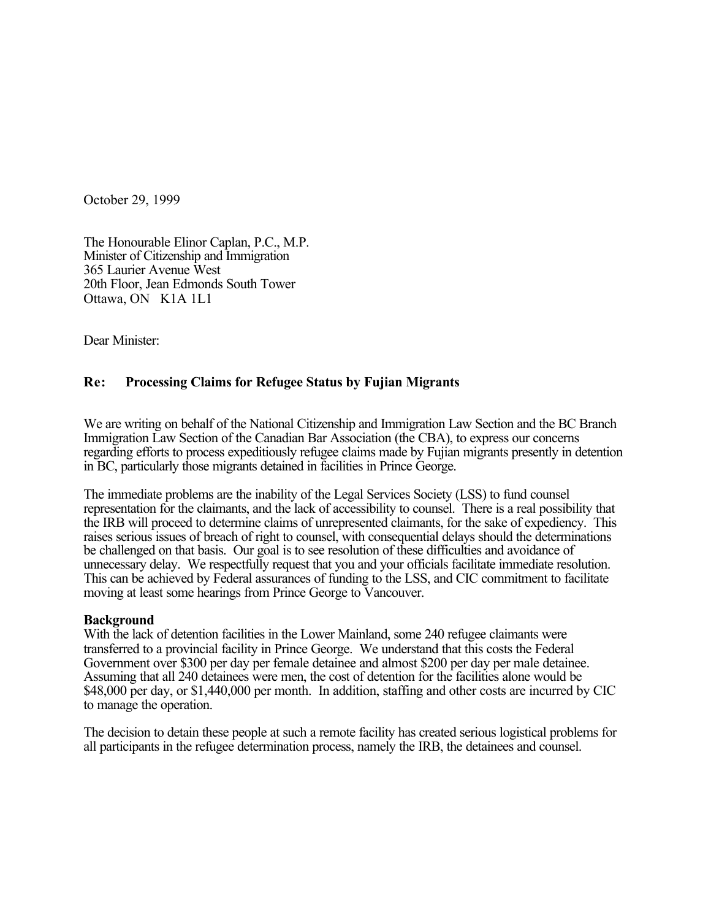October 29, 1999

The Honourable Elinor Caplan, P.C., M.P. Minister of Citizenship and Immigration 365 Laurier Avenue West 20th Floor, Jean Edmonds South Tower Ottawa, ON K1A 1L1

Dear Minister:

# **Re: Processing Claims for Refugee Status by Fujian Migrants**

We are writing on behalf of the National Citizenship and Immigration Law Section and the BC Branch Immigration Law Section of the Canadian Bar Association (the CBA), to express our concerns regarding efforts to process expeditiously refugee claims made by Fujian migrants presently in detention in BC, particularly those migrants detained in facilities in Prince George.

The immediate problems are the inability of the Legal Services Society (LSS) to fund counsel representation for the claimants, and the lack of accessibility to counsel. There is a real possibility that the IRB will proceed to determine claims of unrepresented claimants, for the sake of expediency. This raises serious issues of breach of right to counsel, with consequential delays should the determinations be challenged on that basis. Our goal is to see resolution of these difficulties and avoidance of unnecessary delay. We respectfully request that you and your officials facilitate immediate resolution. This can be achieved by Federal assurances of funding to the LSS, and CIC commitment to facilitate moving at least some hearings from Prince George to Vancouver.

## **Background**

With the lack of detention facilities in the Lower Mainland, some 240 refugee claimants were transferred to a provincial facility in Prince George. We understand that this costs the Federal Government over \$300 per day per female detainee and almost \$200 per day per male detainee. Assuming that all 240 detainees were men, the cost of detention for the facilities alone would be \$48,000 per day, or \$1,440,000 per month. In addition, staffing and other costs are incurred by CIC to manage the operation.

The decision to detain these people at such a remote facility has created serious logistical problems for all participants in the refugee determination process, namely the IRB, the detainees and counsel.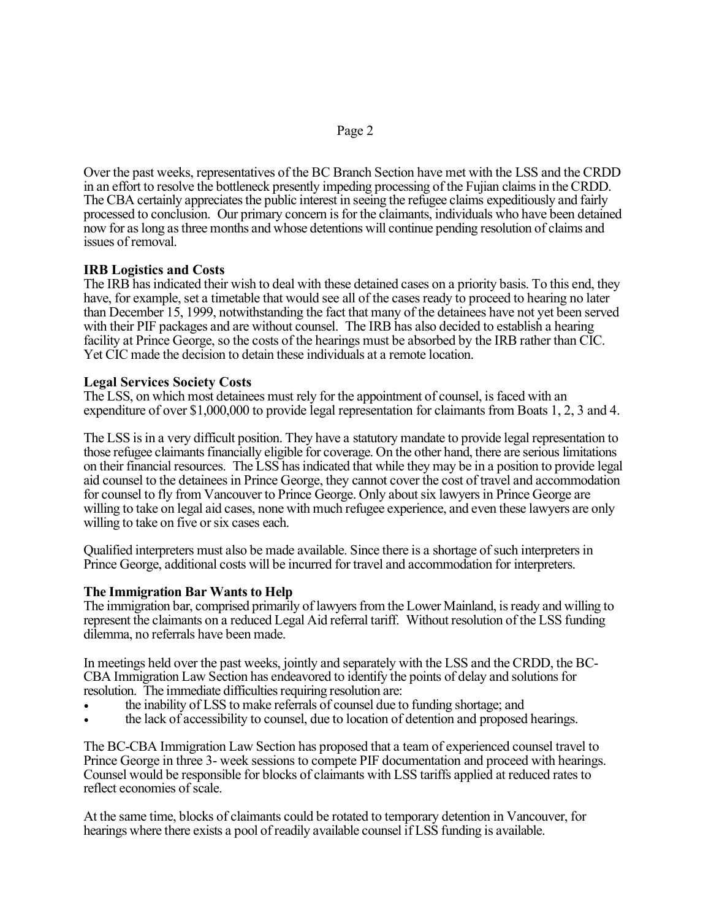Over the past weeks, representatives of the BC Branch Section have met with the LSS and the CRDD in an effort to resolve the bottleneck presently impeding processing of the Fujian claims in the CRDD. The CBA certainly appreciates the public interest in seeing the refugee claims expeditiously and fairly processed to conclusion. Our primary concern is for the claimants, individuals who have been detained now for as long as three months and whose detentions will continue pending resolution of claims and issues of removal.

# **IRB Logistics and Costs**

The IRB has indicated their wish to deal with these detained cases on a priority basis. To this end, they have, for example, set a timetable that would see all of the cases ready to proceed to hearing no later than December 15, 1999, notwithstanding the fact that many of the detainees have not yet been served with their PIF packages and are without counsel. The IRB has also decided to establish a hearing facility at Prince George, so the costs of the hearings must be absorbed by the IRB rather than CIC. Yet CIC made the decision to detain these individuals at a remote location.

## **Legal Services Society Costs**

The LSS, on which most detainees must rely for the appointment of counsel, is faced with an expenditure of over \$1,000,000 to provide legal representation for claimants from Boats 1, 2, 3 and 4.

The LSS is in a very difficult position. They have a statutory mandate to provide legal representation to those refugee claimants financially eligible for coverage. On the other hand, there are serious limitations on their financial resources. The LSS has indicated that while they may be in a position to provide legal aid counsel to the detainees in Prince George, they cannot cover the cost of travel and accommodation for counsel to fly from Vancouver to Prince George. Only about six lawyers in Prince George are willing to take on legal aid cases, none with much refugee experience, and even these lawyers are only willing to take on five or six cases each.

Qualified interpreters must also be made available. Since there is a shortage of such interpreters in Prince George, additional costs will be incurred for travel and accommodation for interpreters.

## **The Immigration Bar Wants to Help**

The immigration bar, comprised primarily of lawyers from the Lower Mainland, is ready and willing to represent the claimants on a reduced Legal Aid referral tariff. Without resolution of the LSS funding dilemma, no referrals have been made.

In meetings held over the past weeks, jointly and separately with the LSS and the CRDD, the BC-CBA Immigration Law Section has endeavored to identify the points of delay and solutions for resolution. The immediate difficulties requiring resolution are:

- the inability of LSS to make referrals of counsel due to funding shortage; and
- the lack of accessibility to counsel, due to location of detention and proposed hearings.

The BC-CBA Immigration Law Section has proposed that a team of experienced counsel travel to Prince George in three 3- week sessions to compete PIF documentation and proceed with hearings. Counsel would be responsible for blocks of claimants with LSS tariffs applied at reduced rates to reflect economies of scale.

At the same time, blocks of claimants could be rotated to temporary detention in Vancouver, for hearings where there exists a pool of readily available counsel if LSS funding is available.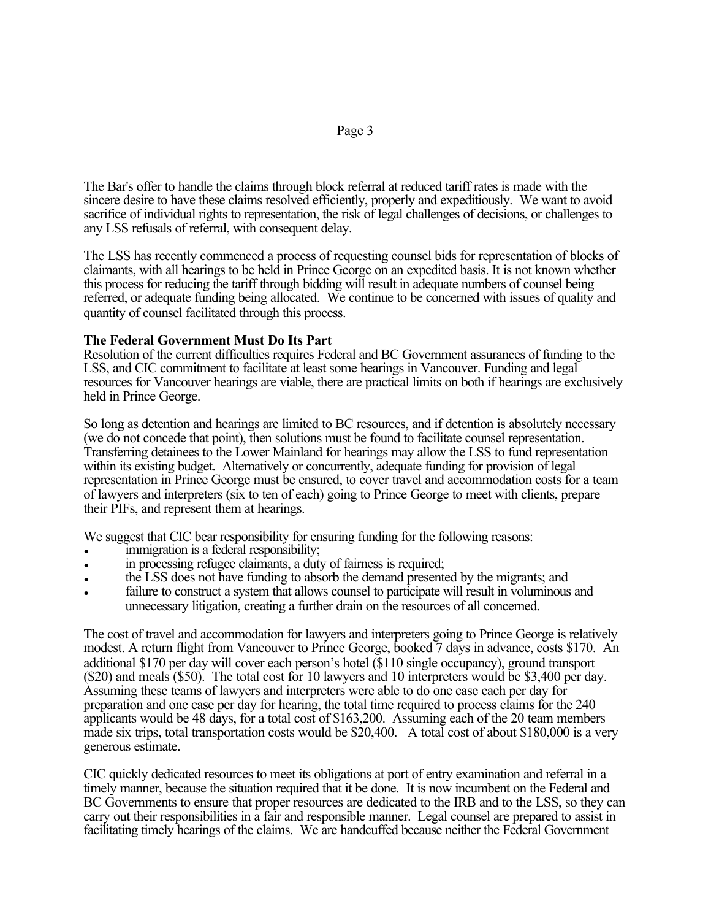The Bar's offer to handle the claims through block referral at reduced tariff rates is made with the sincere desire to have these claims resolved efficiently, properly and expeditiously. We want to avoid sacrifice of individual rights to representation, the risk of legal challenges of decisions, or challenges to any LSS refusals of referral, with consequent delay.

The LSS has recently commenced a process of requesting counsel bids for representation of blocks of claimants, with all hearings to be held in Prince George on an expedited basis. It is not known whether this process for reducing the tariff through bidding will result in adequate numbers of counsel being referred, or adequate funding being allocated. We continue to be concerned with issues of quality and quantity of counsel facilitated through this process.

## **The Federal Government Must Do Its Part**

Resolution of the current difficulties requires Federal and BC Government assurances of funding to the LSS, and CIC commitment to facilitate at least some hearings in Vancouver. Funding and legal resources for Vancouver hearings are viable, there are practical limits on both if hearings are exclusively held in Prince George.

So long as detention and hearings are limited to BC resources, and if detention is absolutely necessary (we do not concede that point), then solutions must be found to facilitate counsel representation. Transferring detainees to the Lower Mainland for hearings may allow the LSS to fund representation within its existing budget. Alternatively or concurrently, adequate funding for provision of legal representation in Prince George must be ensured, to cover travel and accommodation costs for a team of lawyers and interpreters (six to ten of each) going to Prince George to meet with clients, prepare their PIFs, and represent them at hearings.

We suggest that CIC bear responsibility for ensuring funding for the following reasons:

- immigration is a federal responsibility;
- in processing refugee claimants, a duty of fairness is required;
- the LSS does not have funding to absorb the demand presented by the migrants; and
- failure to construct a system that allows counsel to participate will result in voluminous and unnecessary litigation, creating a further drain on the resources of all concerned.

The cost of travel and accommodation for lawyers and interpreters going to Prince George is relatively modest. A return flight from Vancouver to Prince George, booked 7 days in advance, costs \$170. An additional \$170 per day will cover each person's hotel (\$110 single occupancy), ground transport (\$20) and meals (\$50). The total cost for 10 lawyers and 10 interpreters would be \$3,400 per day. Assuming these teams of lawyers and interpreters were able to do one case each per day for preparation and one case per day for hearing, the total time required to process claims for the 240 applicants would be 48 days, for a total cost of \$163,200. Assuming each of the 20 team members made six trips, total transportation costs would be \$20,400. A total cost of about \$180,000 is a very generous estimate.

CIC quickly dedicated resources to meet its obligations at port of entry examination and referral in a timely manner, because the situation required that it be done. It is now incumbent on the Federal and BC Governments to ensure that proper resources are dedicated to the IRB and to the LSS, so they can carry out their responsibilities in a fair and responsible manner. Legal counsel are prepared to assist in facilitating timely hearings of the claims. We are handcuffed because neither the Federal Government